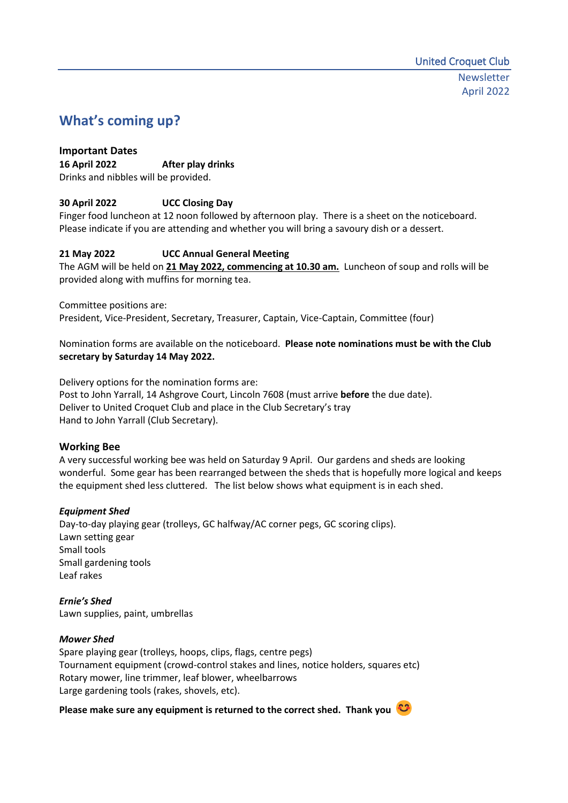# **What's coming up?**

### **Important Dates 16 April 2022 After play drinks** Drinks and nibbles will be provided.

# **30 April 2022 UCC Closing Day**

Finger food luncheon at 12 noon followed by afternoon play. There is a sheet on the noticeboard. Please indicate if you are attending and whether you will bring a savoury dish or a dessert.

## **21 May 2022 UCC Annual General Meeting**

The AGM will be held on **21 May 2022, commencing at 10.30 am.** Luncheon of soup and rolls will be provided along with muffins for morning tea.

Committee positions are:

President, Vice-President, Secretary, Treasurer, Captain, Vice-Captain, Committee (four)

Nomination forms are available on the noticeboard. **Please note nominations must be with the Club secretary by Saturday 14 May 2022.** 

Delivery options for the nomination forms are: Post to John Yarrall, 14 Ashgrove Court, Lincoln 7608 (must arrive **before** the due date). Deliver to United Croquet Club and place in the Club Secretary's tray Hand to John Yarrall (Club Secretary).

# **Working Bee**

A very successful working bee was held on Saturday 9 April. Our gardens and sheds are looking wonderful. Some gear has been rearranged between the sheds that is hopefully more logical and keeps the equipment shed less cluttered. The list below shows what equipment is in each shed.

## *Equipment Shed*

Day-to-day playing gear (trolleys, GC halfway/AC corner pegs, GC scoring clips). Lawn setting gear Small tools Small gardening tools Leaf rakes

*Ernie's Shed* Lawn supplies, paint, umbrellas

## *Mower Shed*

Spare playing gear (trolleys, hoops, clips, flags, centre pegs) Tournament equipment (crowd-control stakes and lines, notice holders, squares etc) Rotary mower, line trimmer, leaf blower, wheelbarrows Large gardening tools (rakes, shovels, etc).

**Please make sure any equipment is returned to the correct shed. Thank you**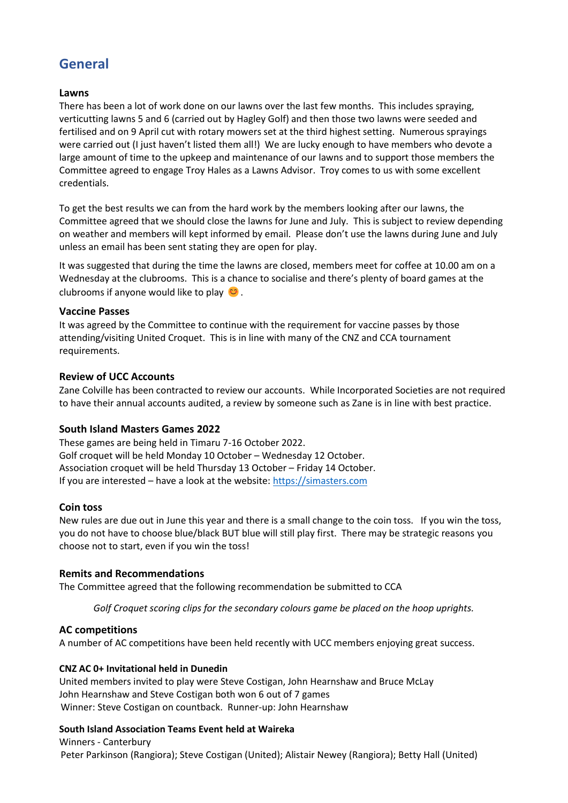# **General**

### **Lawns**

There has been a lot of work done on our lawns over the last few months. This includes spraying, verticutting lawns 5 and 6 (carried out by Hagley Golf) and then those two lawns were seeded and fertilised and on 9 April cut with rotary mowers set at the third highest setting. Numerous sprayings were carried out (I just haven't listed them all!) We are lucky enough to have members who devote a large amount of time to the upkeep and maintenance of our lawns and to support those members the Committee agreed to engage Troy Hales as a Lawns Advisor. Troy comes to us with some excellent credentials.

To get the best results we can from the hard work by the members looking after our lawns, the Committee agreed that we should close the lawns for June and July. This is subject to review depending on weather and members will kept informed by email. Please don't use the lawns during June and July unless an email has been sent stating they are open for play.

It was suggested that during the time the lawns are closed, members meet for coffee at 10.00 am on a Wednesday at the clubrooms. This is a chance to socialise and there's plenty of board games at the clubrooms if anyone would like to play  $\bullet$ .

## **Vaccine Passes**

It was agreed by the Committee to continue with the requirement for vaccine passes by those attending/visiting United Croquet. This is in line with many of the CNZ and CCA tournament requirements.

## **Review of UCC Accounts**

Zane Colville has been contracted to review our accounts. While Incorporated Societies are not required to have their annual accounts audited, a review by someone such as Zane is in line with best practice.

## **South Island Masters Games 2022**

These games are being held in Timaru 7-16 October 2022. Golf croquet will be held Monday 10 October – Wednesday 12 October. Association croquet will be held Thursday 13 October – Friday 14 October. If you are interested – have a look at the website: [https://simasters.com](https://simasters.com/)

#### **Coin toss**

New rules are due out in June this year and there is a small change to the coin toss. If you win the toss, you do not have to choose blue/black BUT blue will still play first. There may be strategic reasons you choose not to start, even if you win the toss!

## **Remits and Recommendations**

The Committee agreed that the following recommendation be submitted to CCA

*Golf Croquet scoring clips for the secondary colours game be placed on the hoop uprights.*

## **AC competitions**

A number of AC competitions have been held recently with UCC members enjoying great success.

#### **CNZ AC 0+ Invitational held in Dunedin**

United members invited to play were Steve Costigan, John Hearnshaw and Bruce McLay John Hearnshaw and Steve Costigan both won 6 out of 7 games Winner: Steve Costigan on countback. Runner-up: John Hearnshaw

#### **South Island Association Teams Event held at Waireka**

Winners - Canterbury Peter Parkinson (Rangiora); Steve Costigan (United); Alistair Newey (Rangiora); Betty Hall (United)